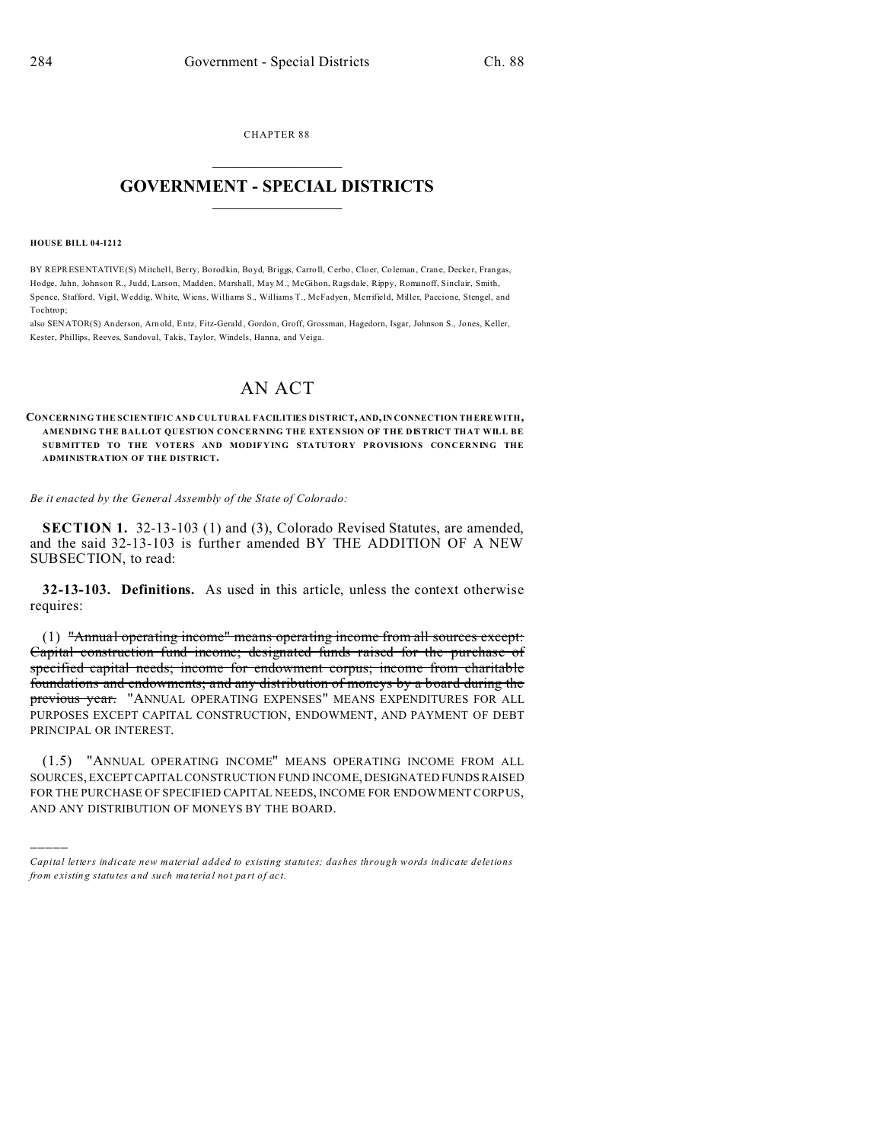CHAPTER 88  $\overline{\phantom{a}}$  , where  $\overline{\phantom{a}}$ 

## **GOVERNMENT - SPECIAL DISTRICTS**  $\_$   $\_$   $\_$   $\_$   $\_$   $\_$   $\_$   $\_$   $\_$

## **HOUSE BILL 04-1212**

)))))

BY REPRESENTATIVE(S) Mitchell, Berry, Borodkin, Boyd, Briggs, Carroll, Cerbo, Cloer, Coleman, Crane, Decker, Frangas, Hodge, Jahn, Johnson R., Judd, Larson, Madden, Marshall, May M., McGihon, Ragsdale, Rippy, Romanoff, Sinclair, Smith, Spence, Stafford, Vigil, Weddig, White, Wiens, Williams S., Williams T., McFadyen, Merrifield, Miller, Paccione, Stengel, and Tochtrop;

also SENATOR(S) Anderson, Arn old, Entz, Fitz-Gerald , Gordo n, Groff, Grossman, Hagedorn, Isgar, Johnson S., Jones, Keller, Kester, Phillips, Reeves, Sandoval, Takis, Taylor, Windels, Hanna, and Veiga.

## AN ACT

**CONCERNING THE SCIENTIFIC AND CULTURAL FACILITIES DISTRICT, AND,IN CONNECTION THEREWITH, AMENDING THE BALLOT QUESTION CONCERNING THE EXTENSION OF THE DISTRICT THAT WILL BE SUBMITTED TO THE VOTERS AND MODIFYING STATUTORY PROVISIONS CONCERNING THE ADMINISTRATION OF THE DISTRICT.**

*Be it enacted by the General Assembly of the State of Colorado:*

**SECTION 1.** 32-13-103 (1) and (3), Colorado Revised Statutes, are amended, and the said 32-13-103 is further amended BY THE ADDITION OF A NEW SUBSECTION, to read:

**32-13-103. Definitions.** As used in this article, unless the context otherwise requires:

(1) "Annual operating income" means operating income from all sources except: Capital construction fund income; designated funds raised for the purchase of specified capital needs; income for endowment corpus; income from charitable foundations and endowments; and any distribution of moneys by a board during the previous year. "ANNUAL OPERATING EXPENSES" MEANS EXPENDITURES FOR ALL PURPOSES EXCEPT CAPITAL CONSTRUCTION, ENDOWMENT, AND PAYMENT OF DEBT PRINCIPAL OR INTEREST.

(1.5) "ANNUAL OPERATING INCOME" MEANS OPERATING INCOME FROM ALL SOURCES, EXCEPTCAPITAL CONSTRUCTION FUND INCOME, DESIGNATED FUNDS RAISED FOR THE PURCHASE OF SPECIFIED CAPITAL NEEDS, INCOME FOR ENDOWMENT CORPUS, AND ANY DISTRIBUTION OF MONEYS BY THE BOARD.

*Capital letters indicate new material added to existing statutes; dashes through words indicate deletions from e xistin g statu tes a nd such ma teria l no t pa rt of ac t.*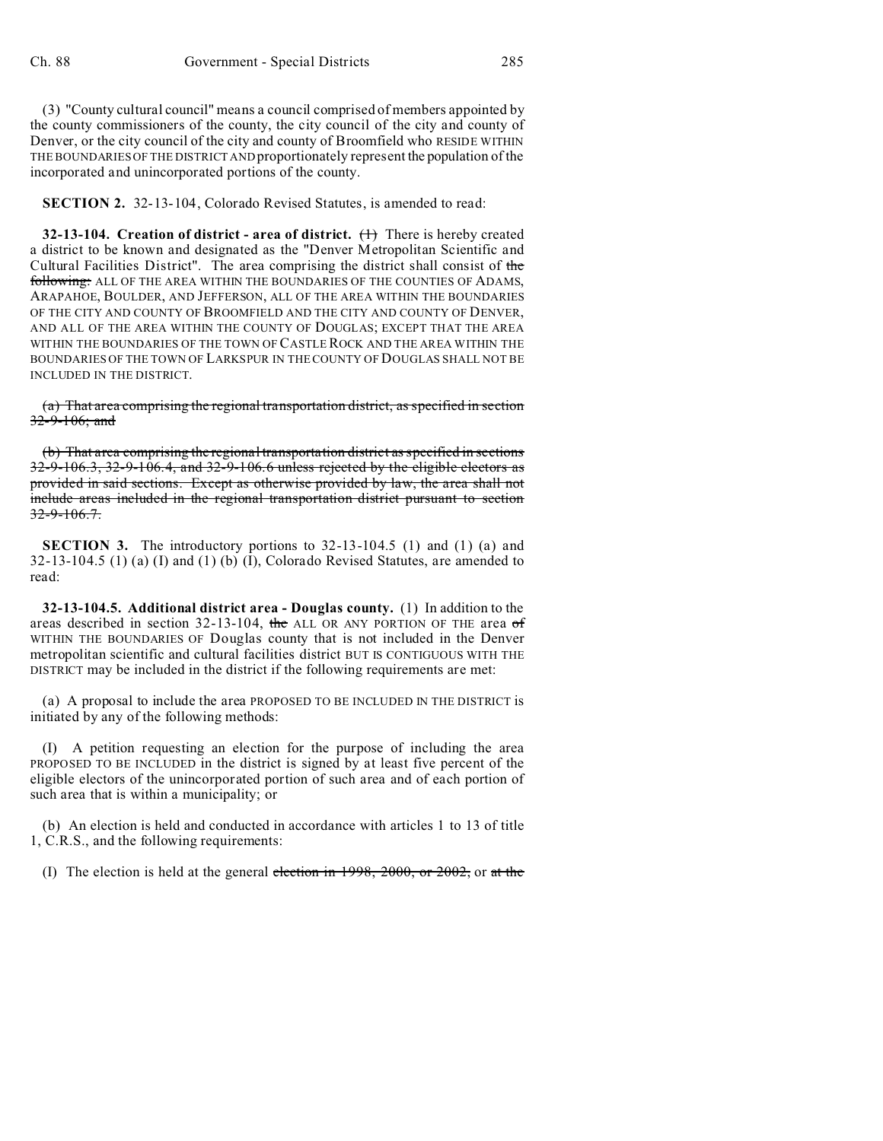(3) "County cultural council" means a council comprised of members appointed by the county commissioners of the county, the city council of the city and county of Denver, or the city council of the city and county of Broomfield who RESIDE WITHIN THE BOUNDARIES OF THE DISTRICT AND proportionately represent the population of the incorporated and unincorporated portions of the county.

**SECTION 2.** 32-13-104, Colorado Revised Statutes, is amended to read:

**32-13-104. Creation of district - area of district.** (1) There is hereby created a district to be known and designated as the "Denver Metropolitan Scientific and Cultural Facilities District". The area comprising the district shall consist of the following: ALL OF THE AREA WITHIN THE BOUNDARIES OF THE COUNTIES OF ADAMS, ARAPAHOE, BOULDER, AND JEFFERSON, ALL OF THE AREA WITHIN THE BOUNDARIES OF THE CITY AND COUNTY OF BROOMFIELD AND THE CITY AND COUNTY OF DENVER, AND ALL OF THE AREA WITHIN THE COUNTY OF DOUGLAS; EXCEPT THAT THE AREA WITHIN THE BOUNDARIES OF THE TOWN OF CASTLE ROCK AND THE AREA WITHIN THE BOUNDARIES OF THE TOWN OF LARKSPUR IN THE COUNTY OF DOUGLAS SHALL NOT BE INCLUDED IN THE DISTRICT.

(a) That area comprising the regional transportation district, as specified in section 32-9-106; and

(b) That area comprising the regional transportation district as specified in sections 32-9-106.3, 32-9-106.4, and 32-9-106.6 unless rejected by the eligible electors as provided in said sections. Except as otherwise provided by law, the area shall not include areas included in the regional transportation district pursuant to section  $32-9-106.7$ .

**SECTION 3.** The introductory portions to 32-13-104.5 (1) and (1) (a) and 32-13-104.5 (1) (a) (I) and (1) (b) (I), Colorado Revised Statutes, are amended to read:

**32-13-104.5. Additional district area - Douglas county.** (1) In addition to the areas described in section 32-13-104, the ALL OR ANY PORTION OF THE area  $\sigma f$ WITHIN THE BOUNDARIES OF Douglas county that is not included in the Denver metropolitan scientific and cultural facilities district BUT IS CONTIGUOUS WITH THE DISTRICT may be included in the district if the following requirements are met:

(a) A proposal to include the area PROPOSED TO BE INCLUDED IN THE DISTRICT is initiated by any of the following methods:

(I) A petition requesting an election for the purpose of including the area PROPOSED TO BE INCLUDED in the district is signed by at least five percent of the eligible electors of the unincorporated portion of such area and of each portion of such area that is within a municipality; or

(b) An election is held and conducted in accordance with articles 1 to 13 of title 1, C.R.S., and the following requirements:

(I) The election is held at the general election in  $1998, 2000,$  or  $2002$ , or at the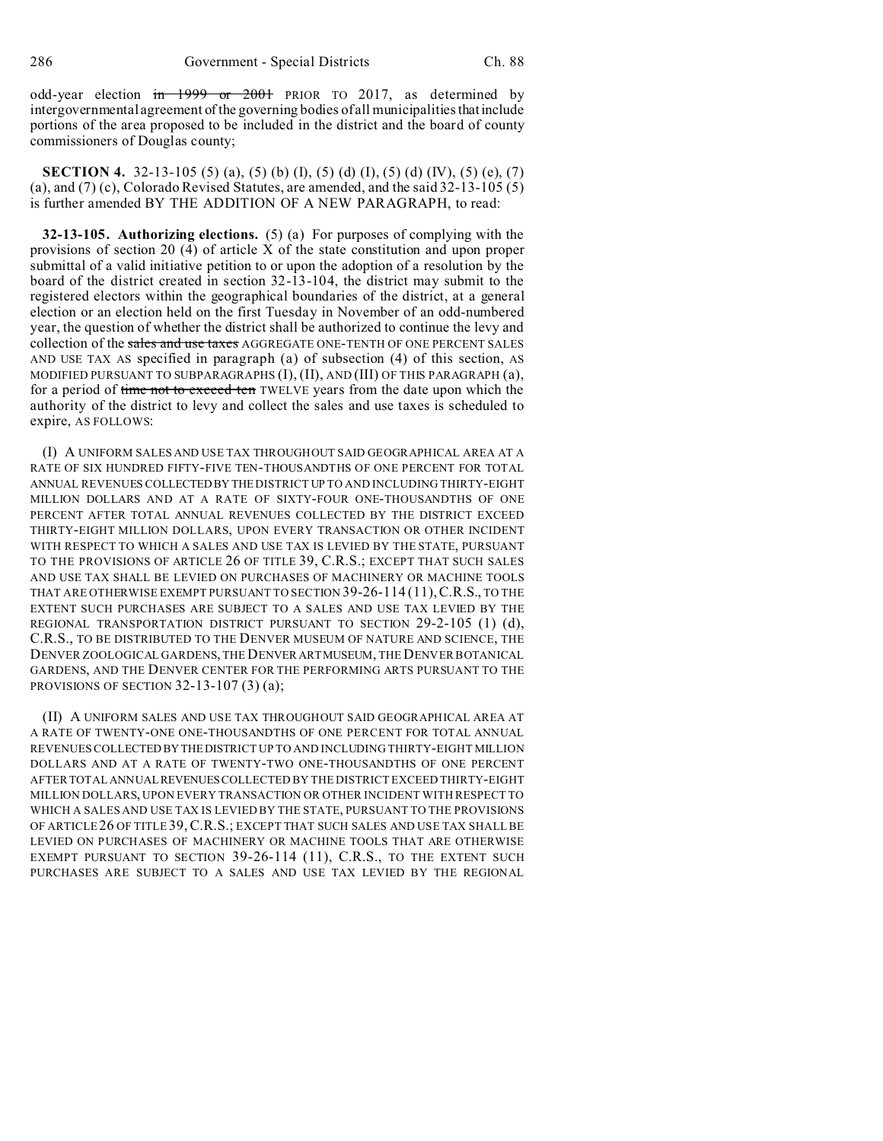odd-year election in 1999 or 2001 PRIOR TO 2017, as determined by intergovernmental agreement of the governing bodies of all municipalities thatinclude portions of the area proposed to be included in the district and the board of county commissioners of Douglas county;

**SECTION 4.** 32-13-105 (5) (a), (5) (b) (I), (5) (d) (I), (5) (d) (IV), (5) (e), (7) (a), and (7) (c), Colorado Revised Statutes, are amended, and the said 32-13-105 (5) is further amended BY THE ADDITION OF A NEW PARAGRAPH, to read:

**32-13-105. Authorizing elections.** (5) (a) For purposes of complying with the provisions of section 20 (4) of article X of the state constitution and upon proper submittal of a valid initiative petition to or upon the adoption of a resolution by the board of the district created in section 32-13-104, the district may submit to the registered electors within the geographical boundaries of the district, at a general election or an election held on the first Tuesday in November of an odd-numbered year, the question of whether the district shall be authorized to continue the levy and collection of the sales and use taxes AGGREGATE ONE-TENTH OF ONE PERCENT SALES AND USE TAX AS specified in paragraph (a) of subsection (4) of this section, AS MODIFIED PURSUANT TO SUBPARAGRAPHS (I), (II), AND (III) OF THIS PARAGRAPH (a), for a period of time not to exceed ten TWELVE years from the date upon which the authority of the district to levy and collect the sales and use taxes is scheduled to expire, AS FOLLOWS:

(I) A UNIFORM SALES AND USE TAX THROUGHOUT SAID GEOGRAPHICAL AREA AT A RATE OF SIX HUNDRED FIFTY-FIVE TEN-THOUSANDTHS OF ONE PERCENT FOR TOTAL ANNUAL REVENUES COLLECTEDBY THE DISTRICT UP TO AND INCLUDING THIRTY-EIGHT MILLION DOLLARS AND AT A RATE OF SIXTY-FOUR ONE-THOUSANDTHS OF ONE PERCENT AFTER TOTAL ANNUAL REVENUES COLLECTED BY THE DISTRICT EXCEED THIRTY-EIGHT MILLION DOLLARS, UPON EVERY TRANSACTION OR OTHER INCIDENT WITH RESPECT TO WHICH A SALES AND USE TAX IS LEVIED BY THE STATE, PURSUANT TO THE PROVISIONS OF ARTICLE 26 OF TITLE 39, C.R.S.; EXCEPT THAT SUCH SALES AND USE TAX SHALL BE LEVIED ON PURCHASES OF MACHINERY OR MACHINE TOOLS THAT ARE OTHERWISE EXEMPT PURSUANT TO SECTION 39-26-114 (11),C.R.S., TO THE EXTENT SUCH PURCHASES ARE SUBJECT TO A SALES AND USE TAX LEVIED BY THE REGIONAL TRANSPORTATION DISTRICT PURSUANT TO SECTION 29-2-105 (1) (d), C.R.S., TO BE DISTRIBUTED TO THE DENVER MUSEUM OF NATURE AND SCIENCE, THE DENVER ZOOLOGICAL GARDENS, THE DENVER ARTMUSEUM, THE DENVER BOTANICAL GARDENS, AND THE DENVER CENTER FOR THE PERFORMING ARTS PURSUANT TO THE PROVISIONS OF SECTION 32-13-107 (3) (a);

(II) A UNIFORM SALES AND USE TAX THROUGHOUT SAID GEOGRAPHICAL AREA AT A RATE OF TWENTY-ONE ONE-THOUSANDTHS OF ONE PERCENT FOR TOTAL ANNUAL REVENUES COLLECTED BY THEDISTRICT UP TO AND INCLUDING THIRTY-EIGHT MILLION DOLLARS AND AT A RATE OF TWENTY-TWO ONE-THOUSANDTHS OF ONE PERCENT AFTER TOTAL ANNUALREVENUES COLLECTED BY THE DISTRICT EXCEED THIRTY-EIGHT MILLION DOLLARS, UPON EVERY TRANSACTION OR OTHER INCIDENT WITH RESPECT TO WHICH A SALES AND USE TAX IS LEVIED BY THE STATE, PURSUANT TO THE PROVISIONS OF ARTICLE 26 OF TITLE 39,C.R.S.; EXCEPT THAT SUCH SALES AND USE TAX SHALL BE LEVIED ON PURCHASES OF MACHINERY OR MACHINE TOOLS THAT ARE OTHERWISE EXEMPT PURSUANT TO SECTION 39-26-114 (11), C.R.S., TO THE EXTENT SUCH PURCHASES ARE SUBJECT TO A SALES AND USE TAX LEVIED BY THE REGIONAL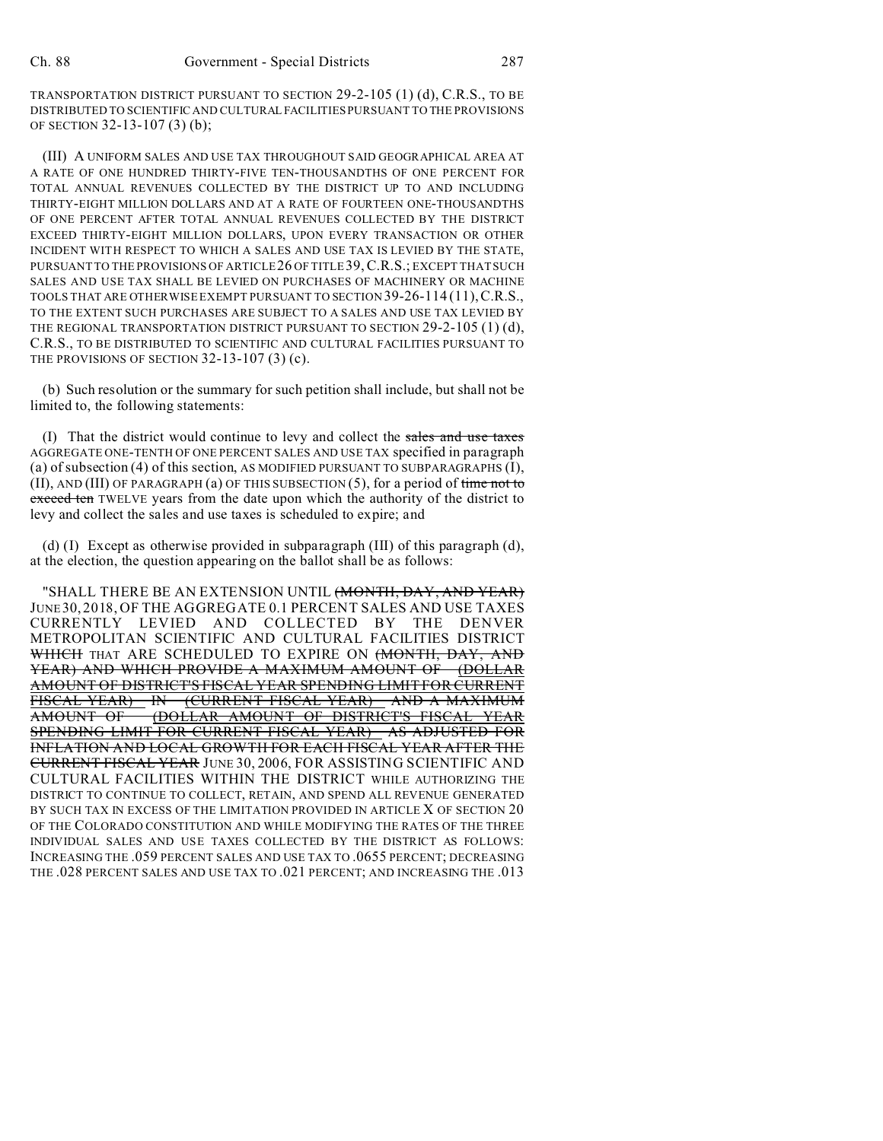TRANSPORTATION DISTRICT PURSUANT TO SECTION 29-2-105 (1) (d), C.R.S., TO BE DISTRIBUTED TO SCIENTIFIC AND CULTURAL FACILITIES PURSUANT TO THE PROVISIONS OF SECTION 32-13-107 (3) (b);

(III) A UNIFORM SALES AND USE TAX THROUGHOUT SAID GEOGRAPHICAL AREA AT A RATE OF ONE HUNDRED THIRTY-FIVE TEN-THOUSANDTHS OF ONE PERCENT FOR TOTAL ANNUAL REVENUES COLLECTED BY THE DISTRICT UP TO AND INCLUDING THIRTY-EIGHT MILLION DOLLARS AND AT A RATE OF FOURTEEN ONE-THOUSANDTHS OF ONE PERCENT AFTER TOTAL ANNUAL REVENUES COLLECTED BY THE DISTRICT EXCEED THIRTY-EIGHT MILLION DOLLARS, UPON EVERY TRANSACTION OR OTHER INCIDENT WITH RESPECT TO WHICH A SALES AND USE TAX IS LEVIED BY THE STATE, PURSUANT TO THE PROVISIONS OF ARTICLE 26 OF TITLE 39, C.R.S.; EXCEPT THAT SUCH SALES AND USE TAX SHALL BE LEVIED ON PURCHASES OF MACHINERY OR MACHINE TOOLS THAT ARE OTHERWISE EXEMPT PURSUANT TO SECTION 39-26-114 (11),C.R.S., TO THE EXTENT SUCH PURCHASES ARE SUBJECT TO A SALES AND USE TAX LEVIED BY THE REGIONAL TRANSPORTATION DISTRICT PURSUANT TO SECTION  $29-2-105$  (1) (d), C.R.S., TO BE DISTRIBUTED TO SCIENTIFIC AND CULTURAL FACILITIES PURSUANT TO THE PROVISIONS OF SECTION 32-13-107 (3) (c).

(b) Such resolution or the summary for such petition shall include, but shall not be limited to, the following statements:

(I) That the district would continue to levy and collect the sales and use taxes AGGREGATE ONE-TENTH OF ONE PERCENT SALES AND USE TAX specified in paragraph (a) of subsection (4) of this section, AS MODIFIED PURSUANT TO SUBPARAGRAPHS (I), (II), AND (III) OF PARAGRAPH (a) OF THIS SUBSECTION  $(5)$ , for a period of time not to exceed ten TWELVE years from the date upon which the authority of the district to levy and collect the sales and use taxes is scheduled to expire; and

(d) (I) Except as otherwise provided in subparagraph (III) of this paragraph (d), at the election, the question appearing on the ballot shall be as follows:

"SHALL THERE BE AN EXTENSION UNTIL (MONTH, DAY, AND YEAR) JUNE30, 2018, OF THE AGGREGATE 0.1 PERCENT SALES AND USE TAXES CURRENTLY LEVIED AND COLLECTED BY THE DENVER METROPOLITAN SCIENTIFIC AND CULTURAL FACILITIES DISTRICT WHICH THAT ARE SCHEDULED TO EXPIRE ON (MONTH, DAY, AND YEAR) AND WHICH PROVIDE A MAXIMUM AMOUNT OF (DOLLAR AMOUNT OF DISTRICT'S FISCAL YEAR SPENDING LIMIT FOR CURRENT FISCAL YEAR) IN (CURRENT FISCAL YEAR) AND A MAXIMUM AMOUNT OF (DOLLAR AMOUNT OF DISTRICT'S FISCAL SPENDING LIMIT FOR CURRENT FISCAL YEAR) AS ADJUSTED FOR INFLATION AND LOCAL GROWTH FOR EACH FISCAL YEAR AFTER THE CURRENT FISCAL YEAR JUNE 30, 2006, FOR ASSISTING SCIENTIFIC AND CULTURAL FACILITIES WITHIN THE DISTRICT WHILE AUTHORIZING THE DISTRICT TO CONTINUE TO COLLECT, RETAIN, AND SPEND ALL REVENUE GENERATED BY SUCH TAX IN EXCESS OF THE LIMITATION PROVIDED IN ARTICLE X OF SECTION 20 OF THE COLORADO CONSTITUTION AND WHILE MODIFYING THE RATES OF THE THREE INDIVIDUAL SALES AND USE TAXES COLLECTED BY THE DISTRICT AS FOLLOWS: INCREASING THE .059 PERCENT SALES AND USE TAX TO .0655 PERCENT; DECREASING THE .028 PERCENT SALES AND USE TAX TO .021 PERCENT; AND INCREASING THE .013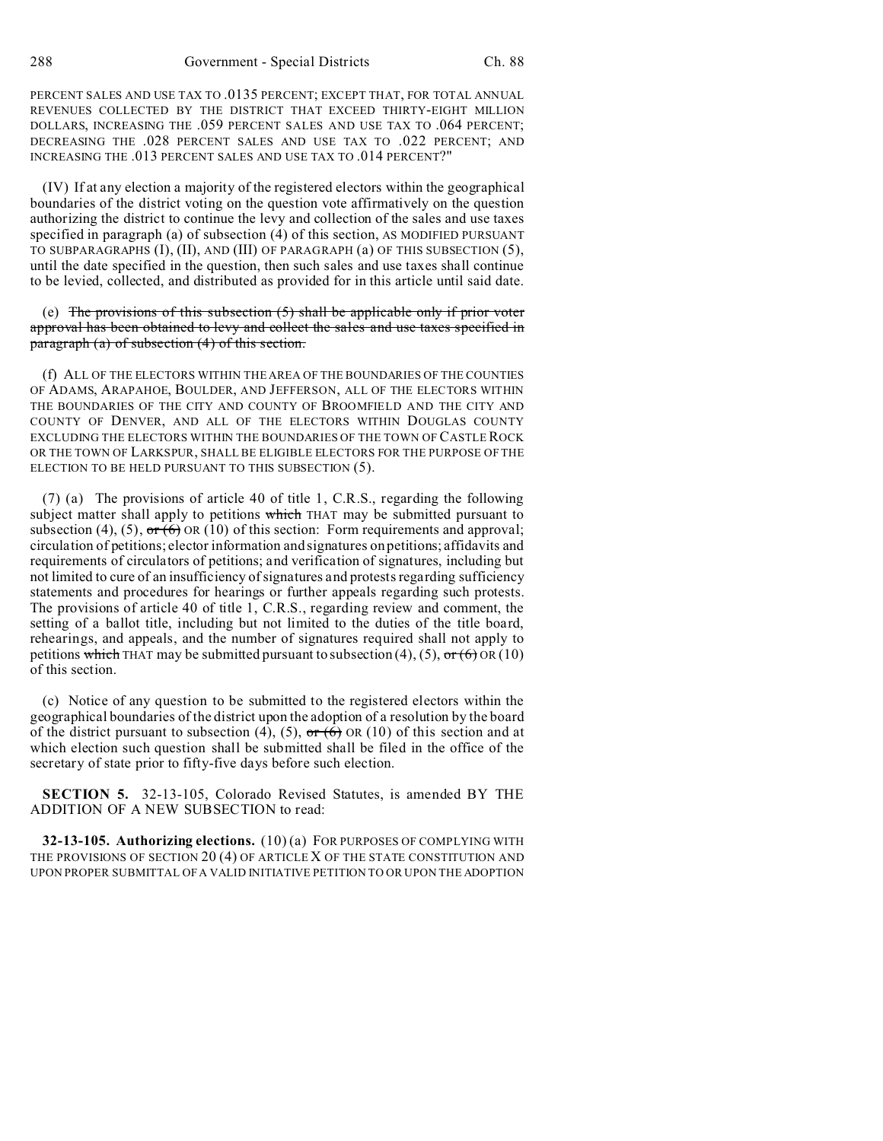PERCENT SALES AND USE TAX TO .0135 PERCENT; EXCEPT THAT, FOR TOTAL ANNUAL REVENUES COLLECTED BY THE DISTRICT THAT EXCEED THIRTY-EIGHT MILLION DOLLARS, INCREASING THE .059 PERCENT SALES AND USE TAX TO .064 PERCENT; DECREASING THE .028 PERCENT SALES AND USE TAX TO .022 PERCENT; AND INCREASING THE .013 PERCENT SALES AND USE TAX TO .014 PERCENT?"

(IV) If at any election a majority of the registered electors within the geographical boundaries of the district voting on the question vote affirmatively on the question authorizing the district to continue the levy and collection of the sales and use taxes specified in paragraph (a) of subsection (4) of this section, AS MODIFIED PURSUANT TO SUBPARAGRAPHS (I), (II), AND (III) OF PARAGRAPH (a) OF THIS SUBSECTION (5), until the date specified in the question, then such sales and use taxes shall continue to be levied, collected, and distributed as provided for in this article until said date.

(e) The provisions of this subsection  $(5)$  shall be applicable only if prior voter approval has been obtained to levy and collect the sales and use taxes specified in paragraph (a) of subsection (4) of this section.

(f) ALL OF THE ELECTORS WITHIN THE AREA OF THE BOUNDARIES OF THE COUNTIES OF ADAMS, ARAPAHOE, BOULDER, AND JEFFERSON, ALL OF THE ELECTORS WITHIN THE BOUNDARIES OF THE CITY AND COUNTY OF BROOMFIELD AND THE CITY AND COUNTY OF DENVER, AND ALL OF THE ELECTORS WITHIN DOUGLAS COUNTY EXCLUDING THE ELECTORS WITHIN THE BOUNDARIES OF THE TOWN OF CASTLEROCK OR THE TOWN OF LARKSPUR, SHALL BE ELIGIBLE ELECTORS FOR THE PURPOSE OF THE ELECTION TO BE HELD PURSUANT TO THIS SUBSECTION (5).

(7) (a) The provisions of article 40 of title 1, C.R.S., regarding the following subject matter shall apply to petitions which THAT may be submitted pursuant to subsection (4), (5),  $\sigma \vec{r}$  (6) OR (10) of this section: Form requirements and approval; circulation of petitions; elector information and signatures on petitions; affidavits and requirements of circulators of petitions; and verification of signatures, including but not limited to cure of an insufficiency of signatures and protests regarding sufficiency statements and procedures for hearings or further appeals regarding such protests. The provisions of article 40 of title 1, C.R.S., regarding review and comment, the setting of a ballot title, including but not limited to the duties of the title board, rehearings, and appeals, and the number of signatures required shall not apply to petitions which THAT may be submitted pursuant to subsection (4), (5),  $\sigma r$  (6) OR (10) of this section.

(c) Notice of any question to be submitted to the registered electors within the geographical boundaries of the district upon the adoption of a resolution by the board of the district pursuant to subsection (4), (5),  $\sigma r$  (6) OR (10) of this section and at which election such question shall be submitted shall be filed in the office of the secretary of state prior to fifty-five days before such election.

**SECTION 5.** 32-13-105, Colorado Revised Statutes, is amended BY THE ADDITION OF A NEW SUBSECTION to read:

**32-13-105. Authorizing elections.** (10) (a) FOR PURPOSES OF COMPLYING WITH THE PROVISIONS OF SECTION 20 (4) OF ARTICLE X OF THE STATE CONSTITUTION AND UPON PROPER SUBMITTAL OF A VALID INITIATIVE PETITION TO OR UPON THE ADOPTION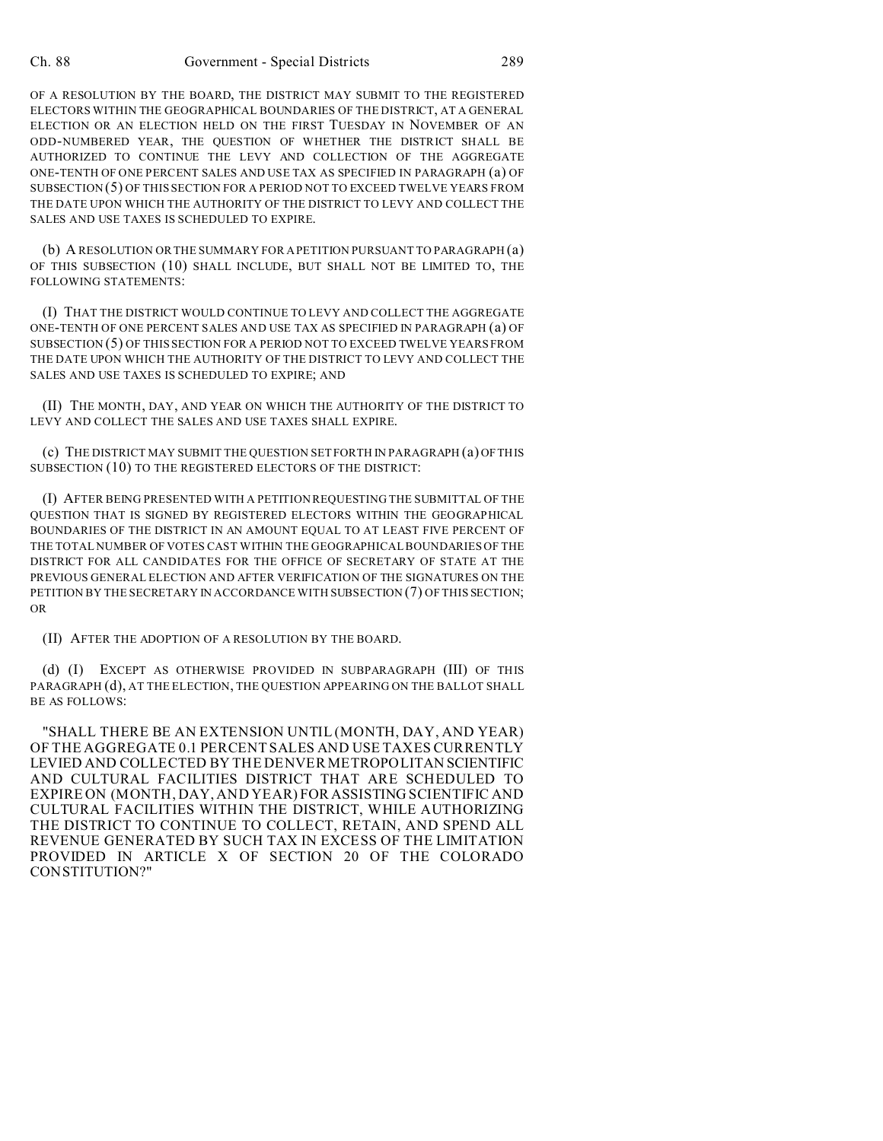OF A RESOLUTION BY THE BOARD, THE DISTRICT MAY SUBMIT TO THE REGISTERED ELECTORS WITHIN THE GEOGRAPHICAL BOUNDARIES OF THE DISTRICT, AT A GENERAL ELECTION OR AN ELECTION HELD ON THE FIRST TUESDAY IN NOVEMBER OF AN ODD-NUMBERED YEAR, THE QUESTION OF WHETHER THE DISTRICT SHALL BE AUTHORIZED TO CONTINUE THE LEVY AND COLLECTION OF THE AGGREGATE ONE-TENTH OF ONE PERCENT SALES AND USE TAX AS SPECIFIED IN PARAGRAPH (a) OF SUBSECTION (5) OF THIS SECTION FOR A PERIOD NOT TO EXCEED TWELVE YEARS FROM THE DATE UPON WHICH THE AUTHORITY OF THE DISTRICT TO LEVY AND COLLECT THE SALES AND USE TAXES IS SCHEDULED TO EXPIRE.

(b) A RESOLUTION OR THE SUMMARY FOR A PETITION PURSUANT TO PARAGRAPH (a) OF THIS SUBSECTION (10) SHALL INCLUDE, BUT SHALL NOT BE LIMITED TO, THE FOLLOWING STATEMENTS:

(I) THAT THE DISTRICT WOULD CONTINUE TO LEVY AND COLLECT THE AGGREGATE ONE-TENTH OF ONE PERCENT SALES AND USE TAX AS SPECIFIED IN PARAGRAPH (a) OF SUBSECTION (5) OF THIS SECTION FOR A PERIOD NOT TO EXCEED TWELVE YEARS FROM THE DATE UPON WHICH THE AUTHORITY OF THE DISTRICT TO LEVY AND COLLECT THE SALES AND USE TAXES IS SCHEDULED TO EXPIRE; AND

(II) THE MONTH, DAY, AND YEAR ON WHICH THE AUTHORITY OF THE DISTRICT TO LEVY AND COLLECT THE SALES AND USE TAXES SHALL EXPIRE.

(c) THE DISTRICT MAY SUBMIT THE QUESTION SET FORTH IN PARAGRAPH (a) OF THIS SUBSECTION (10) TO THE REGISTERED ELECTORS OF THE DISTRICT:

(I) AFTER BEING PRESENTED WITH A PETITION REQUESTING THE SUBMITTAL OF THE QUESTION THAT IS SIGNED BY REGISTERED ELECTORS WITHIN THE GEOGRAPHICAL BOUNDARIES OF THE DISTRICT IN AN AMOUNT EQUAL TO AT LEAST FIVE PERCENT OF THE TOTAL NUMBER OF VOTES CAST WITHIN THE GEOGRAPHICAL BOUNDARIES OF THE DISTRICT FOR ALL CANDIDATES FOR THE OFFICE OF SECRETARY OF STATE AT THE PREVIOUS GENERAL ELECTION AND AFTER VERIFICATION OF THE SIGNATURES ON THE PETITION BY THE SECRETARY IN ACCORDANCE WITH SUBSECTION (7) OF THIS SECTION; OR

(II) AFTER THE ADOPTION OF A RESOLUTION BY THE BOARD.

(d) (I) EXCEPT AS OTHERWISE PROVIDED IN SUBPARAGRAPH (III) OF THIS PARAGRAPH (d), AT THE ELECTION, THE QUESTION APPEARING ON THE BALLOT SHALL BE AS FOLLOWS:

"SHALL THERE BE AN EXTENSION UNTIL (MONTH, DAY, AND YEAR) OF THE AGGREGATE 0.1 PERCENT SALES AND USE TAXES CURRENTLY LEVIED AND COLLECTED BY THE DENVER METROPOLITAN SCIENTIFIC AND CULTURAL FACILITIES DISTRICT THAT ARE SCHEDULED TO EXPIRE ON (MONTH, DAY, AND YEAR) FOR ASSISTING SCIENTIFIC AND CULTURAL FACILITIES WITHIN THE DISTRICT, WHILE AUTHORIZING THE DISTRICT TO CONTINUE TO COLLECT, RETAIN, AND SPEND ALL REVENUE GENERATED BY SUCH TAX IN EXCESS OF THE LIMITATION PROVIDED IN ARTICLE X OF SECTION 20 OF THE COLORADO CONSTITUTION?"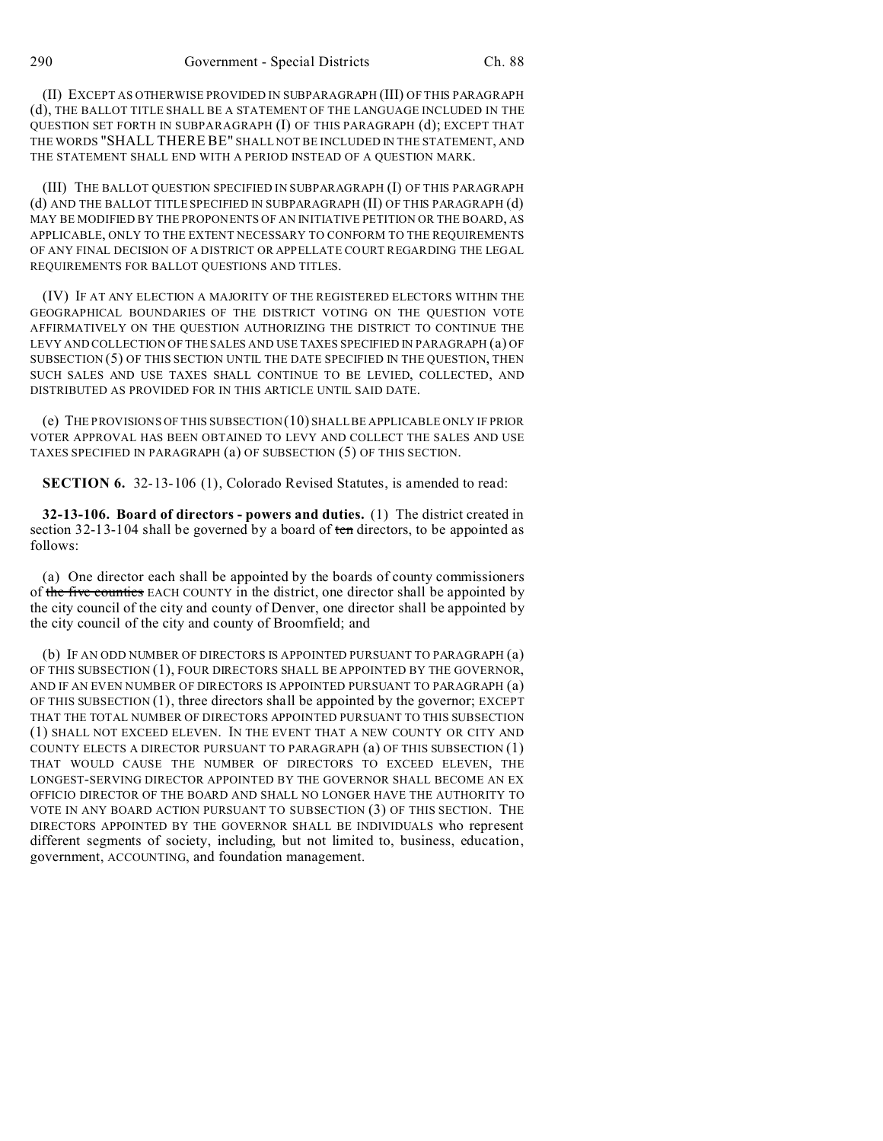(II) EXCEPT AS OTHERWISE PROVIDED IN SUBPARAGRAPH (III) OF THIS PARAGRAPH (d), THE BALLOT TITLE SHALL BE A STATEMENT OF THE LANGUAGE INCLUDED IN THE QUESTION SET FORTH IN SUBPARAGRAPH (I) OF THIS PARAGRAPH (d); EXCEPT THAT THE WORDS "SHALL THERE BE" SHALL NOT BE INCLUDED IN THE STATEMENT, AND THE STATEMENT SHALL END WITH A PERIOD INSTEAD OF A QUESTION MARK.

(III) THE BALLOT QUESTION SPECIFIED IN SUBPARAGRAPH (I) OF THIS PARAGRAPH (d) AND THE BALLOT TITLE SPECIFIED IN SUBPARAGRAPH (II) OF THIS PARAGRAPH (d) MAY BE MODIFIED BY THE PROPONENTS OF AN INITIATIVE PETITION OR THE BOARD, AS APPLICABLE, ONLY TO THE EXTENT NECESSARY TO CONFORM TO THE REQUIREMENTS OF ANY FINAL DECISION OF A DISTRICT OR APPELLATE COURT REGARDING THE LEGAL REQUIREMENTS FOR BALLOT QUESTIONS AND TITLES.

(IV) IF AT ANY ELECTION A MAJORITY OF THE REGISTERED ELECTORS WITHIN THE GEOGRAPHICAL BOUNDARIES OF THE DISTRICT VOTING ON THE QUESTION VOTE AFFIRMATIVELY ON THE QUESTION AUTHORIZING THE DISTRICT TO CONTINUE THE LEVY AND COLLECTION OF THE SALES AND USE TAXES SPECIFIED IN PARAGRAPH (a) OF SUBSECTION (5) OF THIS SECTION UNTIL THE DATE SPECIFIED IN THE QUESTION, THEN SUCH SALES AND USE TAXES SHALL CONTINUE TO BE LEVIED, COLLECTED, AND DISTRIBUTED AS PROVIDED FOR IN THIS ARTICLE UNTIL SAID DATE.

(e) THE PROVISIONS OF THIS SUBSECTION (10) SHALL BE APPLICABLE ONLY IF PRIOR VOTER APPROVAL HAS BEEN OBTAINED TO LEVY AND COLLECT THE SALES AND USE TAXES SPECIFIED IN PARAGRAPH (a) OF SUBSECTION (5) OF THIS SECTION.

**SECTION 6.** 32-13-106 (1), Colorado Revised Statutes, is amended to read:

**32-13-106. Board of directors - powers and duties.** (1) The district created in section 32-13-104 shall be governed by a board of ten directors, to be appointed as follows:

(a) One director each shall be appointed by the boards of county commissioners of the five counties EACH COUNTY in the district, one director shall be appointed by the city council of the city and county of Denver, one director shall be appointed by the city council of the city and county of Broomfield; and

(b) IF AN ODD NUMBER OF DIRECTORS IS APPOINTED PURSUANT TO PARAGRAPH (a) OF THIS SUBSECTION (1), FOUR DIRECTORS SHALL BE APPOINTED BY THE GOVERNOR, AND IF AN EVEN NUMBER OF DIRECTORS IS APPOINTED PURSUANT TO PARAGRAPH (a) OF THIS SUBSECTION (1), three directors shall be appointed by the governor; EXCEPT THAT THE TOTAL NUMBER OF DIRECTORS APPOINTED PURSUANT TO THIS SUBSECTION (1) SHALL NOT EXCEED ELEVEN. IN THE EVENT THAT A NEW COUNTY OR CITY AND COUNTY ELECTS A DIRECTOR PURSUANT TO PARAGRAPH (a) OF THIS SUBSECTION (1) THAT WOULD CAUSE THE NUMBER OF DIRECTORS TO EXCEED ELEVEN, THE LONGEST-SERVING DIRECTOR APPOINTED BY THE GOVERNOR SHALL BECOME AN EX OFFICIO DIRECTOR OF THE BOARD AND SHALL NO LONGER HAVE THE AUTHORITY TO VOTE IN ANY BOARD ACTION PURSUANT TO SUBSECTION (3) OF THIS SECTION. THE DIRECTORS APPOINTED BY THE GOVERNOR SHALL BE INDIVIDUALS who represent different segments of society, including, but not limited to, business, education, government, ACCOUNTING, and foundation management.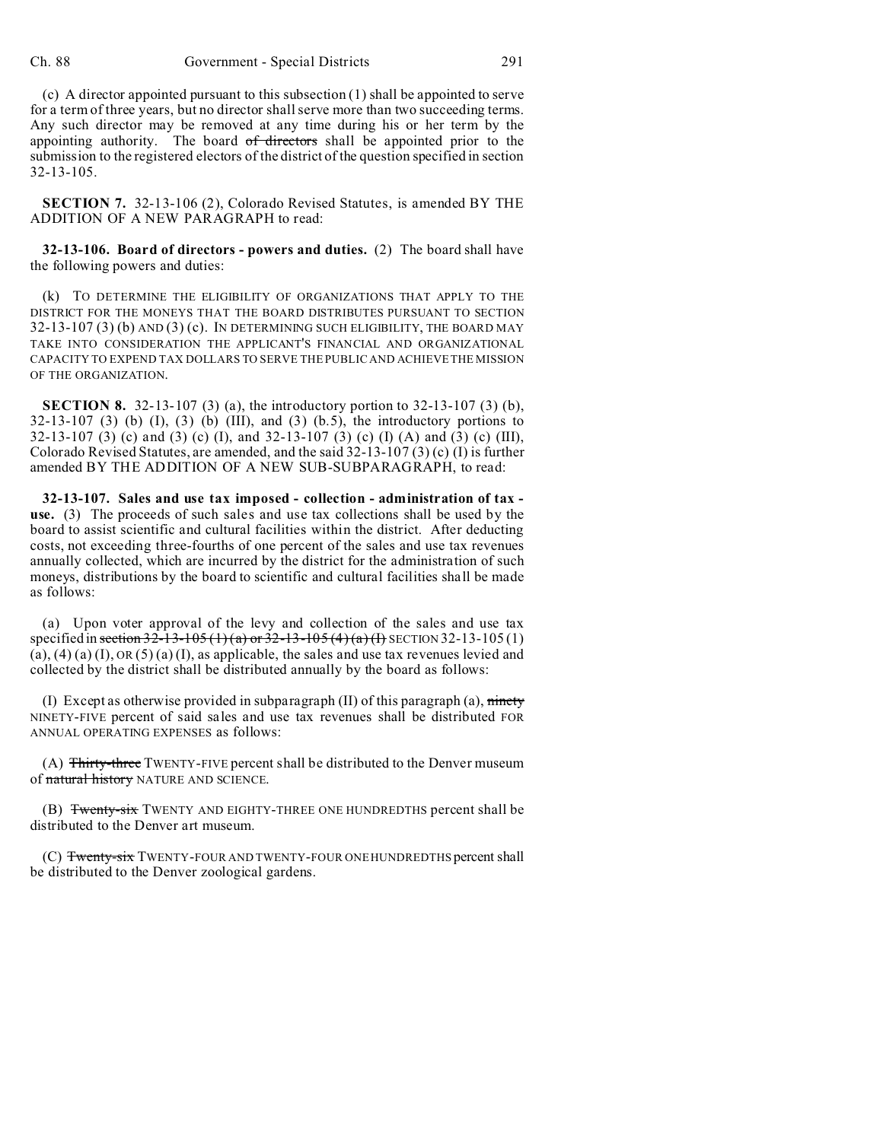(c) A director appointed pursuant to this subsection (1) shall be appointed to serve for a term of three years, but no director shall serve more than two succeeding terms. Any such director may be removed at any time during his or her term by the appointing authority. The board of directors shall be appointed prior to the submission to the registered electors of the district of the question specified in section 32-13-105.

**SECTION 7.** 32-13-106 (2), Colorado Revised Statutes, is amended BY THE ADDITION OF A NEW PARAGRAPH to read:

**32-13-106. Board of directors - powers and duties.** (2) The board shall have the following powers and duties:

(k) TO DETERMINE THE ELIGIBILITY OF ORGANIZATIONS THAT APPLY TO THE DISTRICT FOR THE MONEYS THAT THE BOARD DISTRIBUTES PURSUANT TO SECTION 32-13-107 (3) (b) AND (3) (c). IN DETERMINING SUCH ELIGIBILITY, THE BOARD MAY TAKE INTO CONSIDERATION THE APPLICANT'S FINANCIAL AND ORGANIZATIONAL CAPACITY TO EXPEND TAX DOLLARS TO SERVE THE PUBLIC AND ACHIEVE THE MISSION OF THE ORGANIZATION.

**SECTION 8.** 32-13-107 (3) (a), the introductory portion to 32-13-107 (3) (b),  $32-13-107$  (3) (b) (I), (3) (b) (III), and (3) (b.5), the introductory portions to 32-13-107 (3) (c) and (3) (c) (I), and 32-13-107 (3) (c) (I) (A) and (3) (c) (III), Colorado Revised Statutes, are amended, and the said 32-13-107 (3) (c) (I) is further amended BY THE ADDITION OF A NEW SUB-SUBPARAGRAPH, to read:

**32-13-107. Sales and use tax imposed - collection - administration of tax use.** (3) The proceeds of such sales and use tax collections shall be used by the board to assist scientific and cultural facilities within the district. After deducting costs, not exceeding three-fourths of one percent of the sales and use tax revenues annually collected, which are incurred by the district for the administration of such moneys, distributions by the board to scientific and cultural facilities shall be made as follows:

(a) Upon voter approval of the levy and collection of the sales and use tax specified in section 32-13-105 (1) (a) or 32-13-105 (4) (a) (f) SECTION 32-13-105 (1)  $(a)$ ,  $(4)$   $(a)$   $(I)$ ,  $OR$   $(5)$   $(a)$   $(I)$ , as applicable, the sales and use tax revenues levied and collected by the district shall be distributed annually by the board as follows:

(I) Except as otherwise provided in subparagraph (II) of this paragraph (a),  $m$ NINETY-FIVE percent of said sales and use tax revenues shall be distributed FOR ANNUAL OPERATING EXPENSES as follows:

(A) Thirty-three TWENTY-FIVE percent shall be distributed to the Denver museum of natural history NATURE AND SCIENCE.

(B) Twenty-six TWENTY AND EIGHTY-THREE ONE HUNDREDTHS percent shall be distributed to the Denver art museum.

(C) Twenty-six TWENTY-FOUR AND TWENTY-FOUR ONE HUNDREDTHS percent shall be distributed to the Denver zoological gardens.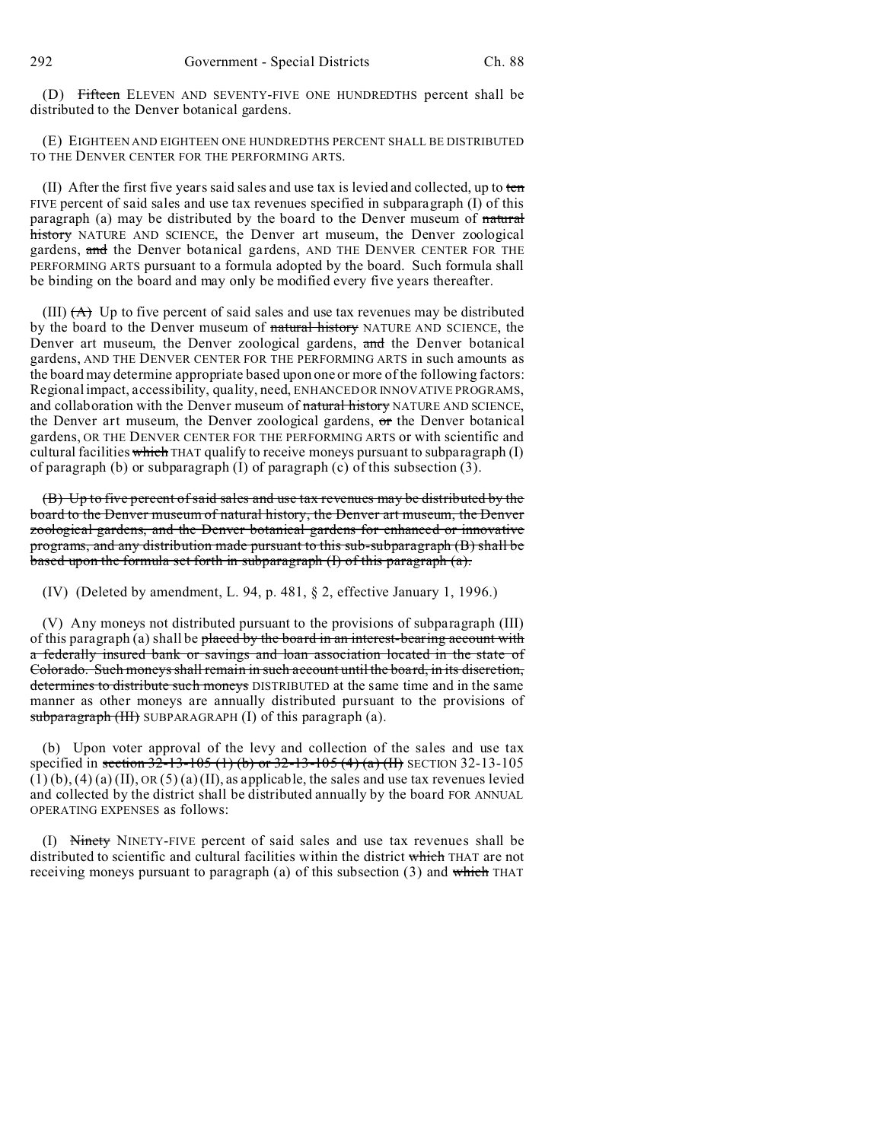(D) Fifteen ELEVEN AND SEVENTY-FIVE ONE HUNDREDTHS percent shall be distributed to the Denver botanical gardens.

(E) EIGHTEEN AND EIGHTEEN ONE HUNDREDTHS PERCENT SHALL BE DISTRIBUTED TO THE DENVER CENTER FOR THE PERFORMING ARTS.

(II) After the first five years said sales and use tax is levied and collected, up to ten FIVE percent of said sales and use tax revenues specified in subparagraph (I) of this paragraph (a) may be distributed by the board to the Denver museum of natural history NATURE AND SCIENCE, the Denver art museum, the Denver zoological gardens, and the Denver botanical gardens, AND THE DENVER CENTER FOR THE PERFORMING ARTS pursuant to a formula adopted by the board. Such formula shall be binding on the board and may only be modified every five years thereafter.

(III)  $(A)$  Up to five percent of said sales and use tax revenues may be distributed by the board to the Denver museum of natural history NATURE AND SCIENCE, the Denver art museum, the Denver zoological gardens, and the Denver botanical gardens, AND THE DENVER CENTER FOR THE PERFORMING ARTS in such amounts as the board may determine appropriate based upon one or more of the following factors: Regional impact, accessibility, quality, need, ENHANCED OR INNOVATIVE PROGRAMS, and collaboration with the Denver museum of natural history NATURE AND SCIENCE, the Denver art museum, the Denver zoological gardens, or the Denver botanical gardens, OR THE DENVER CENTER FOR THE PERFORMING ARTS or with scientific and cultural facilities which THAT qualify to receive moneys pursuant to subparagraph  $(I)$ of paragraph (b) or subparagraph (I) of paragraph (c) of this subsection (3).

(B) Up to five percent of said sales and use tax revenues may be distributed by the board to the Denver museum of natural history, the Denver art museum, the Denver zoological gardens, and the Denver botanical gardens for enhanced or innovative programs, and any distribution made pursuant to this sub-subparagraph (B) shall be based upon the formula set forth in subparagraph (I) of this paragraph (a).

(IV) (Deleted by amendment, L. 94, p. 481, § 2, effective January 1, 1996.)

(V) Any moneys not distributed pursuant to the provisions of subparagraph (III) of this paragraph (a) shall be placed by the board in an interest-bearing account with a federally insured bank or savings and loan association located in the state of Colorado. Such moneys shall remain in such account until the board, in its discretion, determines to distribute such moneys DISTRIBUTED at the same time and in the same manner as other moneys are annually distributed pursuant to the provisions of subparagraph (III) SUBPARAGRAPH (I) of this paragraph (a).

(b) Upon voter approval of the levy and collection of the sales and use tax specified in section 32-13-105 (1) (b) or 32-13-105 (4) (a) (II) SECTION 32-13-105  $(1)(b)$ ,  $(4)(a)$   $(II)$ ,  $OR(5)(a)$   $(II)$ , as applicable, the sales and use tax revenues levied and collected by the district shall be distributed annually by the board FOR ANNUAL OPERATING EXPENSES as follows:

(I) Ninety NINETY-FIVE percent of said sales and use tax revenues shall be distributed to scientific and cultural facilities within the district which THAT are not receiving moneys pursuant to paragraph (a) of this subsection  $(3)$  and which THAT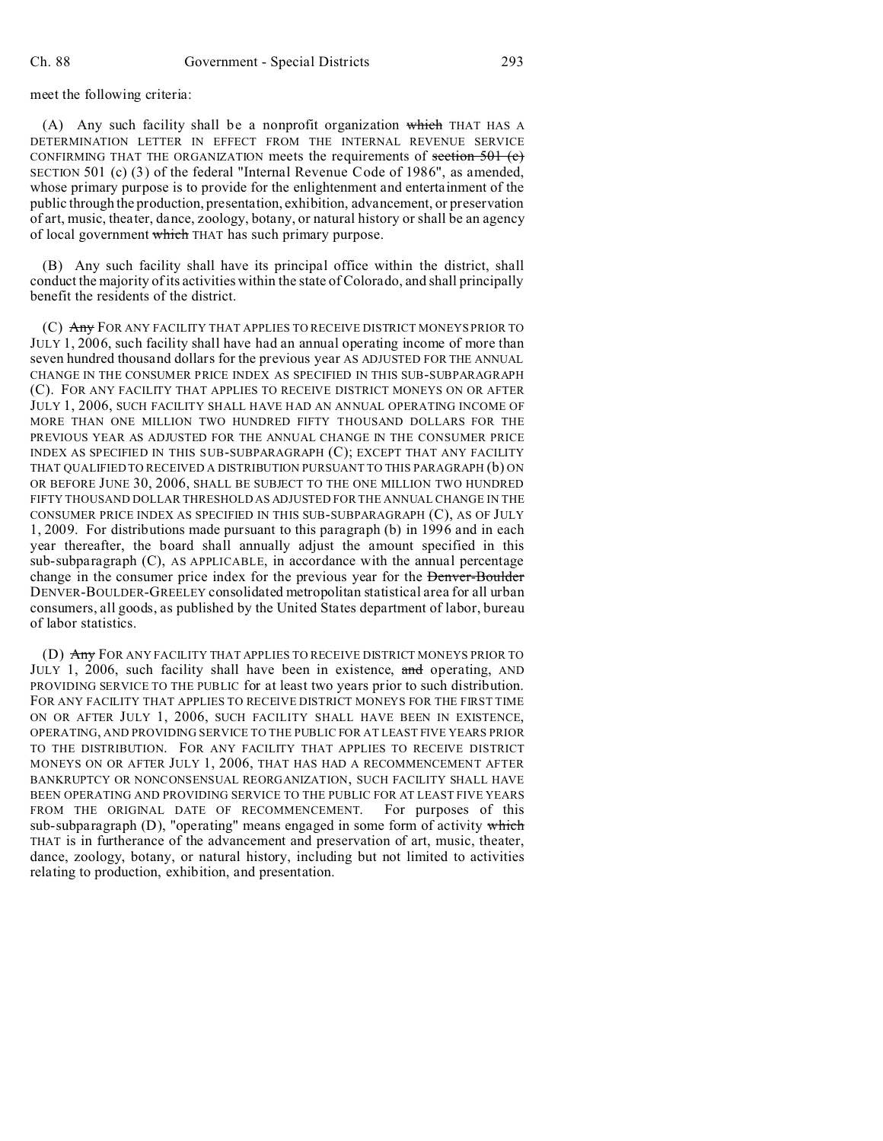meet the following criteria:

(A) Any such facility shall be a nonprofit organization which THAT HAS A DETERMINATION LETTER IN EFFECT FROM THE INTERNAL REVENUE SERVICE CONFIRMING THAT THE ORGANIZATION meets the requirements of section  $\frac{501}{(c)}$ SECTION 501 (c) (3) of the federal "Internal Revenue Code of 1986", as amended, whose primary purpose is to provide for the enlightenment and entertainment of the public through the production, presentation, exhibition, advancement, or preservation of art, music, theater, dance, zoology, botany, or natural history or shall be an agency of local government which THAT has such primary purpose.

(B) Any such facility shall have its principal office within the district, shall conduct the majority of its activities within the state of Colorado, and shall principally benefit the residents of the district.

(C) Any FOR ANY FACILITY THAT APPLIES TO RECEIVE DISTRICT MONEYS PRIOR TO JULY 1, 2006, such facility shall have had an annual operating income of more than seven hundred thousand dollars for the previous year AS ADJUSTED FOR THE ANNUAL CHANGE IN THE CONSUMER PRICE INDEX AS SPECIFIED IN THIS SUB-SUBPARAGRAPH (C). FOR ANY FACILITY THAT APPLIES TO RECEIVE DISTRICT MONEYS ON OR AFTER JULY 1, 2006, SUCH FACILITY SHALL HAVE HAD AN ANNUAL OPERATING INCOME OF MORE THAN ONE MILLION TWO HUNDRED FIFTY THOUSAND DOLLARS FOR THE PREVIOUS YEAR AS ADJUSTED FOR THE ANNUAL CHANGE IN THE CONSUMER PRICE INDEX AS SPECIFIED IN THIS SUB-SUBPARAGRAPH (C); EXCEPT THAT ANY FACILITY THAT QUALIFIED TO RECEIVED A DISTRIBUTION PURSUANT TO THIS PARAGRAPH (b) ON OR BEFORE JUNE 30, 2006, SHALL BE SUBJECT TO THE ONE MILLION TWO HUNDRED FIFTY THOUSAND DOLLAR THRESHOLD AS ADJUSTED FOR THE ANNUAL CHANGE IN THE CONSUMER PRICE INDEX AS SPECIFIED IN THIS SUB-SUBPARAGRAPH (C), AS OF JULY 1, 2009. For distributions made pursuant to this paragraph (b) in 1996 and in each year thereafter, the board shall annually adjust the amount specified in this sub-subparagraph (C), AS APPLICABLE, in accordance with the annual percentage change in the consumer price index for the previous year for the Denver-Boulder DENVER-BOULDER-GREELEY consolidated metropolitan statistical area for all urban consumers, all goods, as published by the United States department of labor, bureau of labor statistics.

(D) Any FOR ANY FACILITY THAT APPLIES TO RECEIVE DISTRICT MONEYS PRIOR TO JULY 1, 2006, such facility shall have been in existence, and operating, AND PROVIDING SERVICE TO THE PUBLIC for at least two years prior to such distribution. FOR ANY FACILITY THAT APPLIES TO RECEIVE DISTRICT MONEYS FOR THE FIRST TIME ON OR AFTER JULY 1, 2006, SUCH FACILITY SHALL HAVE BEEN IN EXISTENCE, OPERATING, AND PROVIDING SERVICE TO THE PUBLIC FOR AT LEAST FIVE YEARS PRIOR TO THE DISTRIBUTION. FOR ANY FACILITY THAT APPLIES TO RECEIVE DISTRICT MONEYS ON OR AFTER JULY 1, 2006, THAT HAS HAD A RECOMMENCEMENT AFTER BANKRUPTCY OR NONCONSENSUAL REORGANIZATION, SUCH FACILITY SHALL HAVE BEEN OPERATING AND PROVIDING SERVICE TO THE PUBLIC FOR AT LEAST FIVE YEARS FROM THE ORIGINAL DATE OF RECOMMENCEMENT. For purposes of this sub-subparagraph  $(D)$ , "operating" means engaged in some form of activity which THAT is in furtherance of the advancement and preservation of art, music, theater, dance, zoology, botany, or natural history, including but not limited to activities relating to production, exhibition, and presentation.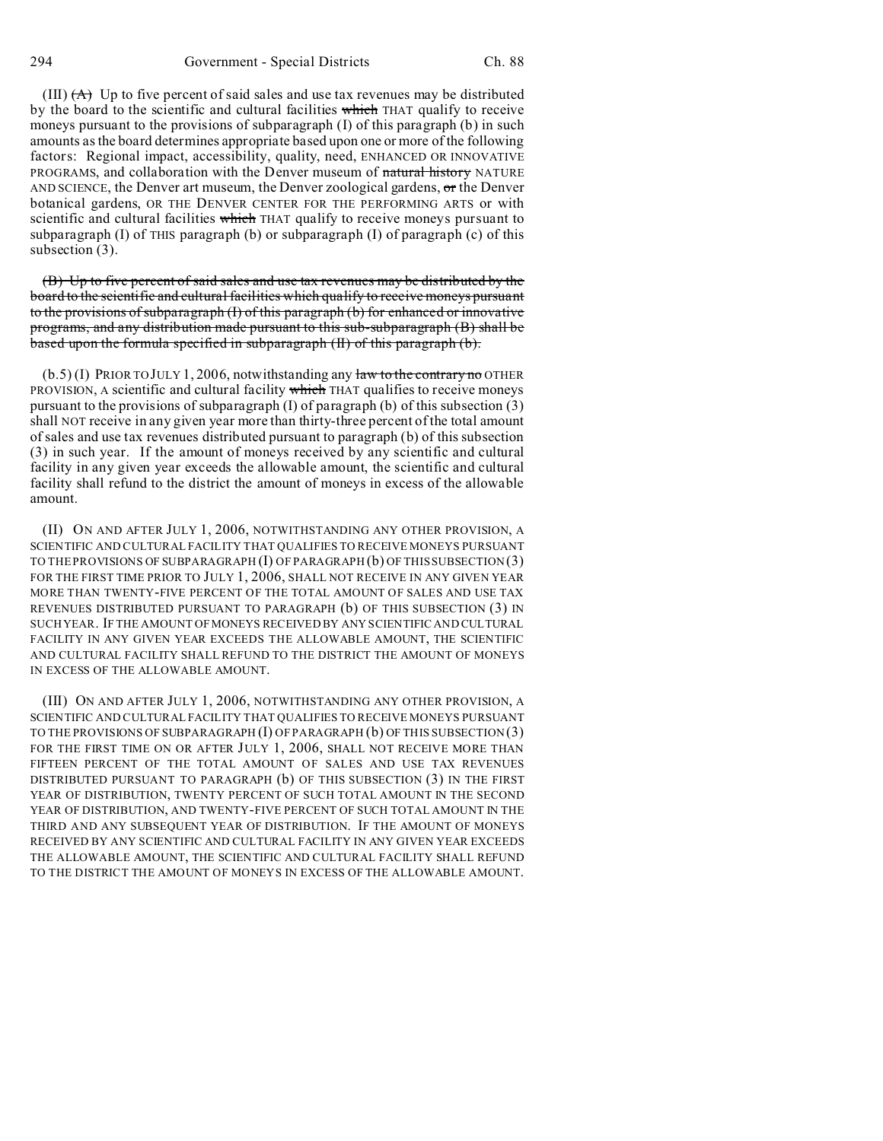(III)  $(A)$  Up to five percent of said sales and use tax revenues may be distributed by the board to the scientific and cultural facilities which THAT qualify to receive moneys pursuant to the provisions of subparagraph (I) of this paragraph (b) in such amounts as the board determines appropriate based upon one or more of the following factors: Regional impact, accessibility, quality, need, ENHANCED OR INNOVATIVE PROGRAMS, and collaboration with the Denver museum of natural history NATURE AND SCIENCE, the Denver art museum, the Denver zoological gardens,  $\sigma$ r the Denver botanical gardens, OR THE DENVER CENTER FOR THE PERFORMING ARTS or with scientific and cultural facilities which THAT qualify to receive moneys pursuant to subparagraph  $(I)$  of THIS paragraph  $(b)$  or subparagraph  $(I)$  of paragraph  $(c)$  of this subsection (3).

(B) Up to five percent of said sales and use tax revenues may be distributed by the board to the scientific and cultural facilities which qualify to receive moneys pursuant to the provisions of subparagraph (I) of this paragraph (b) for enhanced or innovative programs, and any distribution made pursuant to this sub-subparagraph (B) shall be based upon the formula specified in subparagraph (II) of this paragraph (b).

 $(b.5)$  (I) PRIOR TO JULY 1, 2006, notwithstanding any law to the contrary no OTHER PROVISION, A scientific and cultural facility which THAT qualifies to receive moneys pursuant to the provisions of subparagraph  $(I)$  of paragraph  $(b)$  of this subsection  $(3)$ shall NOT receive in any given year more than thirty-three percent of the total amount of sales and use tax revenues distributed pursuant to paragraph (b) of this subsection (3) in such year. If the amount of moneys received by any scientific and cultural facility in any given year exceeds the allowable amount, the scientific and cultural facility shall refund to the district the amount of moneys in excess of the allowable amount.

(II) ON AND AFTER JULY 1, 2006, NOTWITHSTANDING ANY OTHER PROVISION, A SCIENTIFIC AND CULTURAL FACILITY THAT QUALIFIES TO RECEIVE MONEYS PURSUANT TO THE PROVISIONS OF SUBPARAGRAPH  $(I)$  OF PARAGRAPH $(b)$  OF THIS SUBSECTION  $(3)$ FOR THE FIRST TIME PRIOR TO JULY 1, 2006, SHALL NOT RECEIVE IN ANY GIVEN YEAR MORE THAN TWENTY-FIVE PERCENT OF THE TOTAL AMOUNT OF SALES AND USE TAX REVENUES DISTRIBUTED PURSUANT TO PARAGRAPH (b) OF THIS SUBSECTION (3) IN SUCH YEAR. IF THE AMOUNT OF MONEYS RECEIVED BY ANY SCIENTIFIC AND CULTURAL FACILITY IN ANY GIVEN YEAR EXCEEDS THE ALLOWABLE AMOUNT, THE SCIENTIFIC AND CULTURAL FACILITY SHALL REFUND TO THE DISTRICT THE AMOUNT OF MONEYS IN EXCESS OF THE ALLOWABLE AMOUNT.

(III) ON AND AFTER JULY 1, 2006, NOTWITHSTANDING ANY OTHER PROVISION, A SCIENTIFIC AND CULTURAL FACILITY THAT QUALIFIES TO RECEIVE MONEYS PURSUANT TO THE PROVISIONS OF SUBPARAGRAPH  $(I)$  OF PARAGRAPH  $(b)$  OF THIS SUBSECTION  $(3)$ FOR THE FIRST TIME ON OR AFTER JULY 1, 2006, SHALL NOT RECEIVE MORE THAN FIFTEEN PERCENT OF THE TOTAL AMOUNT OF SALES AND USE TAX REVENUES DISTRIBUTED PURSUANT TO PARAGRAPH (b) OF THIS SUBSECTION (3) IN THE FIRST YEAR OF DISTRIBUTION, TWENTY PERCENT OF SUCH TOTAL AMOUNT IN THE SECOND YEAR OF DISTRIBUTION, AND TWENTY-FIVE PERCENT OF SUCH TOTAL AMOUNT IN THE THIRD AND ANY SUBSEQUENT YEAR OF DISTRIBUTION. IF THE AMOUNT OF MONEYS RECEIVED BY ANY SCIENTIFIC AND CULTURAL FACILITY IN ANY GIVEN YEAR EXCEEDS THE ALLOWABLE AMOUNT, THE SCIENTIFIC AND CULTURAL FACILITY SHALL REFUND TO THE DISTRICT THE AMOUNT OF MONEYS IN EXCESS OF THE ALLOWABLE AMOUNT.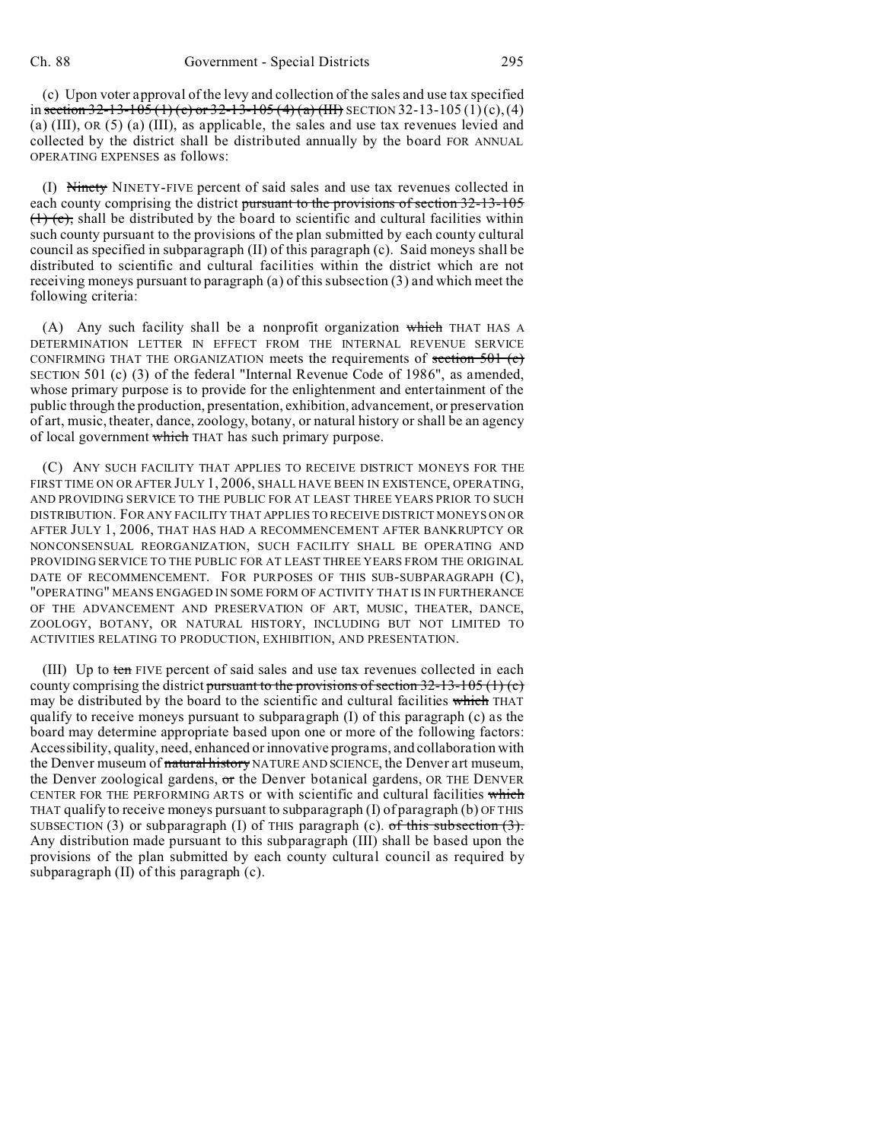(c) Upon voter approval of the levy and collection of the sales and use tax specified in section 32-13-105 (1) (c) or 32-13-105 (4) (a) (III) SECTION 32-13-105 (1)(c),(4) (a) (III), OR (5) (a) (III), as applicable, the sales and use tax revenues levied and collected by the district shall be distributed annually by the board FOR ANNUAL OPERATING EXPENSES as follows:

(I) Ninety NINETY-FIVE percent of said sales and use tax revenues collected in each county comprising the district pursuant to the provisions of section 32-13-105  $(1)$  (e), shall be distributed by the board to scientific and cultural facilities within such county pursuant to the provisions of the plan submitted by each county cultural council as specified in subparagraph (II) of this paragraph (c). Said moneys shall be distributed to scientific and cultural facilities within the district which are not receiving moneys pursuant to paragraph (a) of this subsection (3) and which meet the following criteria:

(A) Any such facility shall be a nonprofit organization which THAT HAS A DETERMINATION LETTER IN EFFECT FROM THE INTERNAL REVENUE SERVICE CONFIRMING THAT THE ORGANIZATION meets the requirements of section  $501$  (c) SECTION 501 (c) (3) of the federal "Internal Revenue Code of 1986", as amended, whose primary purpose is to provide for the enlightenment and entertainment of the public through the production, presentation, exhibition, advancement, or preservation of art, music, theater, dance, zoology, botany, or natural history or shall be an agency of local government which THAT has such primary purpose.

(C) ANY SUCH FACILITY THAT APPLIES TO RECEIVE DISTRICT MONEYS FOR THE FIRST TIME ON OR AFTER JULY 1, 2006, SHALL HAVE BEEN IN EXISTENCE, OPERATING, AND PROVIDING SERVICE TO THE PUBLIC FOR AT LEAST THREE YEARS PRIOR TO SUCH DISTRIBUTION. FOR ANY FACILITY THAT APPLIES TO RECEIVE DISTRICT MONEYS ON OR AFTER JULY 1, 2006, THAT HAS HAD A RECOMMENCEMENT AFTER BANKRUPTCY OR NONCONSENSUAL REORGANIZATION, SUCH FACILITY SHALL BE OPERATING AND PROVIDING SERVICE TO THE PUBLIC FOR AT LEAST THREE YEARS FROM THE ORIGINAL DATE OF RECOMMENCEMENT. FOR PURPOSES OF THIS SUB-SUBPARAGRAPH (C), "OPERATING" MEANS ENGAGED IN SOME FORM OF ACTIVITY THAT IS IN FURTHERANCE OF THE ADVANCEMENT AND PRESERVATION OF ART, MUSIC, THEATER, DANCE, ZOOLOGY, BOTANY, OR NATURAL HISTORY, INCLUDING BUT NOT LIMITED TO ACTIVITIES RELATING TO PRODUCTION, EXHIBITION, AND PRESENTATION.

(III) Up to ten FIVE percent of said sales and use tax revenues collected in each county comprising the district pursuant to the provisions of section  $32-13-105$  (1) (c) may be distributed by the board to the scientific and cultural facilities which THAT qualify to receive moneys pursuant to subparagraph (I) of this paragraph (c) as the board may determine appropriate based upon one or more of the following factors: Accessibility, quality, need, enhanced or innovative programs, and collaboration with the Denver museum of natural history NATURE AND SCIENCE, the Denver art museum, the Denver zoological gardens,  $\sigma$ r the Denver botanical gardens, OR THE DENVER CENTER FOR THE PERFORMING ARTS or with scientific and cultural facilities which THAT qualify to receive moneys pursuant to subparagraph (I) of paragraph (b) OF THIS SUBSECTION (3) or subparagraph (I) of THIS paragraph (c).  $of this subsection (3)$ . Any distribution made pursuant to this subparagraph (III) shall be based upon the provisions of the plan submitted by each county cultural council as required by subparagraph (II) of this paragraph (c).